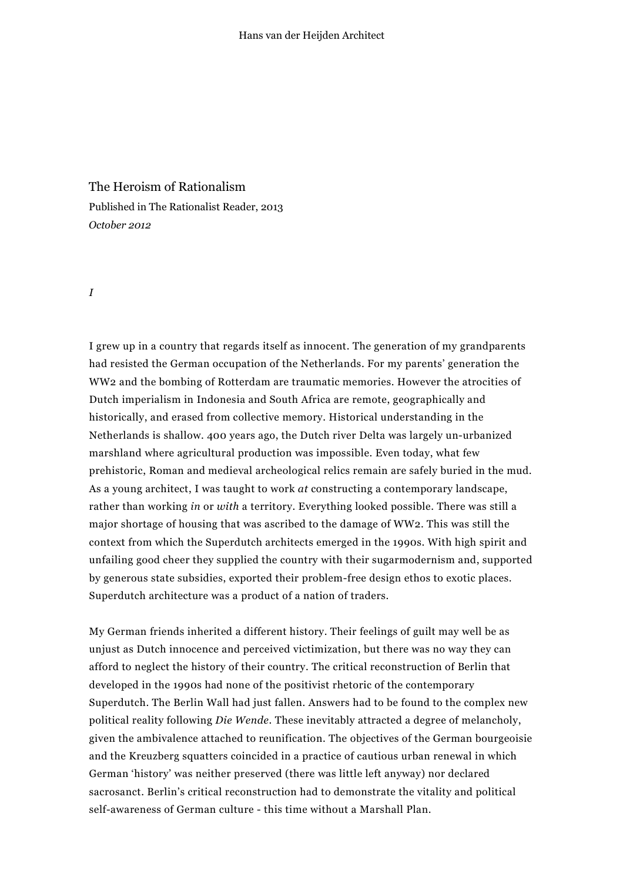## The Heroism of Rationalism

Published in The Rationalist Reader, 2013 *October 2012* 

*I* 

I grew up in a country that regards itself as innocent. The generation of my grandparents had resisted the German occupation of the Netherlands. For my parents' generation the WW2 and the bombing of Rotterdam are traumatic memories. However the atrocities of Dutch imperialism in Indonesia and South Africa are remote, geographically and historically, and erased from collective memory. Historical understanding in the Netherlands is shallow. 400 years ago, the Dutch river Delta was largely un-urbanized marshland where agricultural production was impossible. Even today, what few prehistoric, Roman and medieval archeological relics remain are safely buried in the mud. As a young architect, I was taught to work *at* constructing a contemporary landscape, rather than working *in* or *with* a territory. Everything looked possible. There was still a major shortage of housing that was ascribed to the damage of WW2. This was still the context from which the Superdutch architects emerged in the 1990s. With high spirit and unfailing good cheer they supplied the country with their sugarmodernism and, supported by generous state subsidies, exported their problem-free design ethos to exotic places. Superdutch architecture was a product of a nation of traders.

My German friends inherited a different history. Their feelings of guilt may well be as unjust as Dutch innocence and perceived victimization, but there was no way they can afford to neglect the history of their country. The critical reconstruction of Berlin that developed in the 1990s had none of the positivist rhetoric of the contemporary Superdutch. The Berlin Wall had just fallen. Answers had to be found to the complex new political reality following *Die Wende*. These inevitably attracted a degree of melancholy, given the ambivalence attached to reunification. The objectives of the German bourgeoisie and the Kreuzberg squatters coincided in a practice of cautious urban renewal in which German 'history' was neither preserved (there was little left anyway) nor declared sacrosanct. Berlin's critical reconstruction had to demonstrate the vitality and political self-awareness of German culture - this time without a Marshall Plan.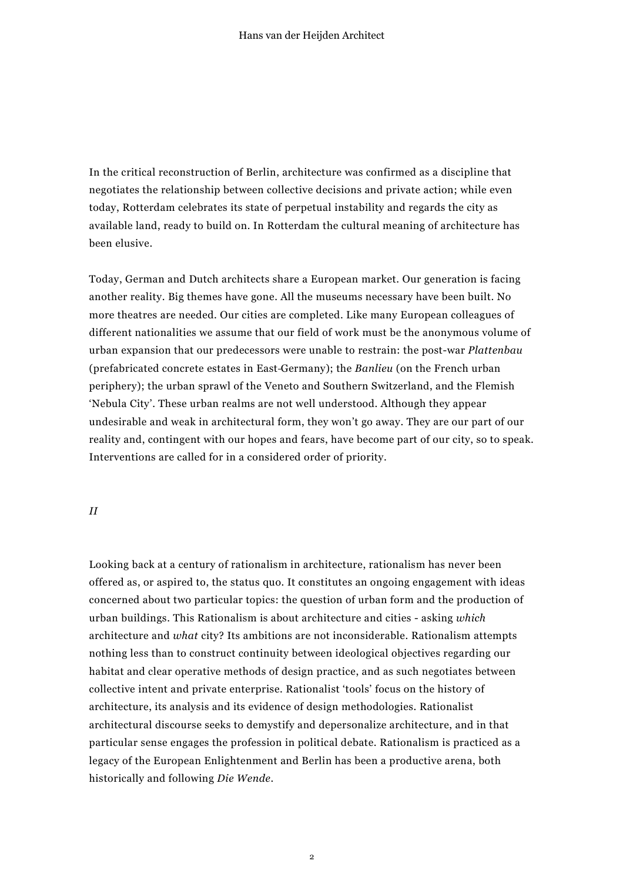In the critical reconstruction of Berlin, architecture was confirmed as a discipline that negotiates the relationship between collective decisions and private action; while even today, Rotterdam celebrates its state of perpetual instability and regards the city as available land, ready to build on. In Rotterdam the cultural meaning of architecture has been elusive.

Today, German and Dutch architects share a European market. Our generation is facing another reality. Big themes have gone. All the museums necessary have been built. No more theatres are needed. Our cities are completed. Like many European colleagues of different nationalities we assume that our field of work must be the anonymous volume of urban expansion that our predecessors were unable to restrain: the post-war *Plattenbau*  (prefabricated concrete estates in East Germany); the *Banlieu* (on the French urban periphery); the urban sprawl of the Veneto and Southern Switzerland, and the Flemish 'Nebula City'. These urban realms are not well understood. Although they appear undesirable and weak in architectural form, they won't go away. They are our part of our reality and, contingent with our hopes and fears, have become part of our city, so to speak. Interventions are called for in a considered order of priority.

## *II*

Looking back at a century of rationalism in architecture, rationalism has never been offered as, or aspired to, the status quo. It constitutes an ongoing engagement with ideas concerned about two particular topics: the question of urban form and the production of urban buildings. This Rationalism is about architecture and cities - asking *which* architecture and *what* city? Its ambitions are not inconsiderable. Rationalism attempts nothing less than to construct continuity between ideological objectives regarding our habitat and clear operative methods of design practice, and as such negotiates between collective intent and private enterprise. Rationalist 'tools' focus on the history of architecture, its analysis and its evidence of design methodologies. Rationalist architectural discourse seeks to demystify and depersonalize architecture, and in that particular sense engages the profession in political debate. Rationalism is practiced as a legacy of the European Enlightenment and Berlin has been a productive arena, both historically and following *Die Wende*.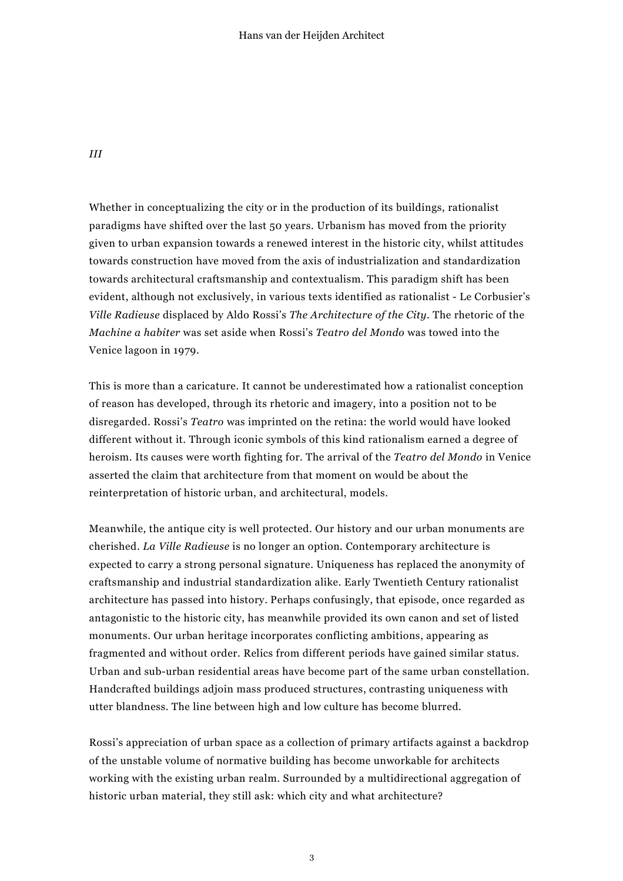*III* 

Whether in conceptualizing the city or in the production of its buildings, rationalist paradigms have shifted over the last 50 years. Urbanism has moved from the priority given to urban expansion towards a renewed interest in the historic city, whilst attitudes towards construction have moved from the axis of industrialization and standardization towards architectural craftsmanship and contextualism. This paradigm shift has been evident, although not exclusively, in various texts identified as rationalist - Le Corbusier's *Ville Radieuse* displaced by Aldo Rossi's *The Architecture of the City*. The rhetoric of the *Machine a habiter* was set aside when Rossi's *Teatro del Mondo* was towed into the Venice lagoon in 1979.

This is more than a caricature. It cannot be underestimated how a rationalist conception of reason has developed, through its rhetoric and imagery, into a position not to be disregarded. Rossi's *Teatro* was imprinted on the retina: the world would have looked different without it. Through iconic symbols of this kind rationalism earned a degree of heroism. Its causes were worth fighting for. The arrival of the *Teatro del Mondo* in Venice asserted the claim that architecture from that moment on would be about the reinterpretation of historic urban, and architectural, models.

Meanwhile, the antique city is well protected. Our history and our urban monuments are cherished. *La Ville Radieuse* is no longer an option. Contemporary architecture is expected to carry a strong personal signature. Uniqueness has replaced the anonymity of craftsmanship and industrial standardization alike. Early Twentieth Century rationalist architecture has passed into history. Perhaps confusingly, that episode, once regarded as antagonistic to the historic city, has meanwhile provided its own canon and set of listed monuments. Our urban heritage incorporates conflicting ambitions, appearing as fragmented and without order. Relics from different periods have gained similar status. Urban and sub-urban residential areas have become part of the same urban constellation. Handcrafted buildings adjoin mass produced structures, contrasting uniqueness with utter blandness. The line between high and low culture has become blurred.

Rossi's appreciation of urban space as a collection of primary artifacts against a backdrop of the unstable volume of normative building has become unworkable for architects working with the existing urban realm. Surrounded by a multidirectional aggregation of historic urban material, they still ask: which city and what architecture?